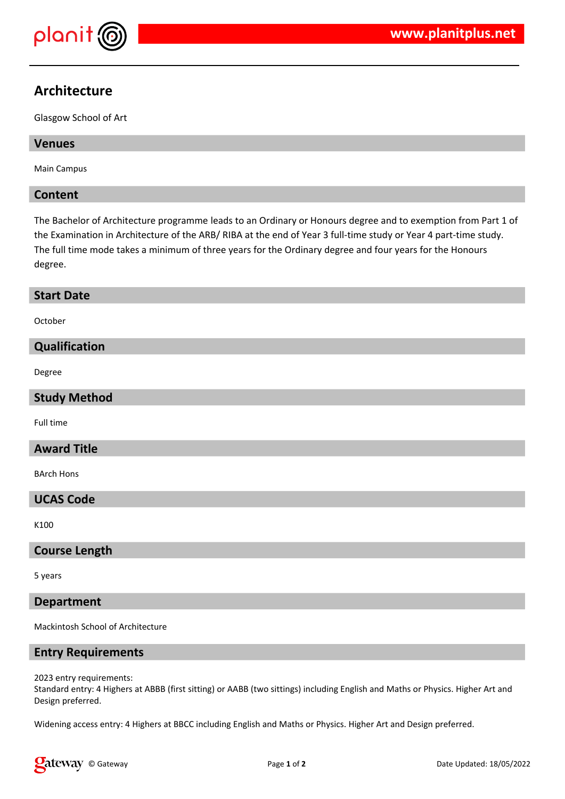

# **Architecture**

Glasgow School of Art

# **Venues**

Main Campus

# **Content**

The Bachelor of Architecture programme leads to an Ordinary or Honours degree and to exemption from Part 1 of the Examination in Architecture of the ARB/ RIBA at the end of Year 3 full-time study or Year 4 part-time study. The full time mode takes a minimum of three years for the Ordinary degree and four years for the Honours degree.

#### **Start Date**

October

# **Qualification**

Degree

#### **Study Method**

Full time

#### **Award Title**

BArch Hons

# **UCAS Code**

K100

#### **Course Length**

5 years

#### **Department**

Mackintosh School of Architecture

#### **Entry Requirements**

2023 entry requirements:

Standard entry: 4 Highers at ABBB (first sitting) or AABB (two sittings) including English and Maths or Physics. Higher Art and Design preferred.

Widening access entry: 4 Highers at BBCC including English and Maths or Physics. Higher Art and Design preferred.